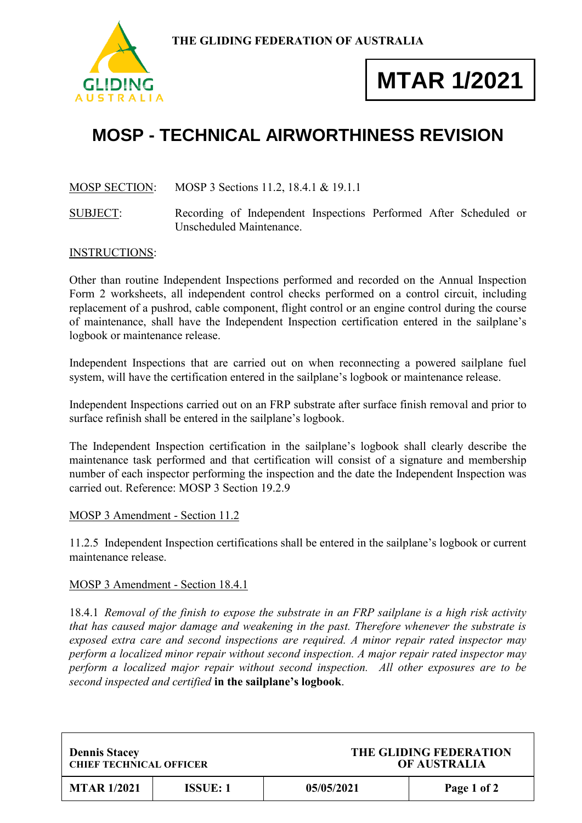

# **MTAR 1/2021**

## **MOSP - TECHNICAL AIRWORTHINESS REVISION**

### MOSP SECTION: MOSP 3 Sections 11.2, 18.4.1 & 19.1.1

SUBJECT: Recording of Independent Inspections Performed After Scheduled or Unscheduled Maintenance.

#### INSTRUCTIONS:

Other than routine Independent Inspections performed and recorded on the Annual Inspection Form 2 worksheets, all independent control checks performed on a control circuit, including replacement of a pushrod, cable component, flight control or an engine control during the course of maintenance, shall have the Independent Inspection certification entered in the sailplane's logbook or maintenance release.

Independent Inspections that are carried out on when reconnecting a powered sailplane fuel system, will have the certification entered in the sailplane's logbook or maintenance release.

Independent Inspections carried out on an FRP substrate after surface finish removal and prior to surface refinish shall be entered in the sailplane's logbook.

The Independent Inspection certification in the sailplane's logbook shall clearly describe the maintenance task performed and that certification will consist of a signature and membership number of each inspector performing the inspection and the date the Independent Inspection was carried out. Reference: MOSP 3 Section 19.2.9

#### MOSP 3 Amendment - Section 11.2

11.2.5 Independent Inspection certifications shall be entered in the sailplane's logbook or current maintenance release.

#### MOSP 3 Amendment - Section 18.4.1

18.4.1 *Removal of the finish to expose the substrate in an FRP sailplane is a high risk activity that has caused major damage and weakening in the past. Therefore whenever the substrate is exposed extra care and second inspections are required. A minor repair rated inspector may perform a localized minor repair without second inspection. A major repair rated inspector may perform a localized major repair without second inspection. All other exposures are to be second inspected and certified* **in the sailplane's logbook**.

| <b>Dennis Stacey</b>           |          | THE GLIDING FEDERATION |             |
|--------------------------------|----------|------------------------|-------------|
| <b>CHIEF TECHNICAL OFFICER</b> |          | <b>OF AUSTRALIA</b>    |             |
| <b>MTAR 1/2021</b>             | ISSUE: 1 | 05/05/2021             | Page 1 of 2 |